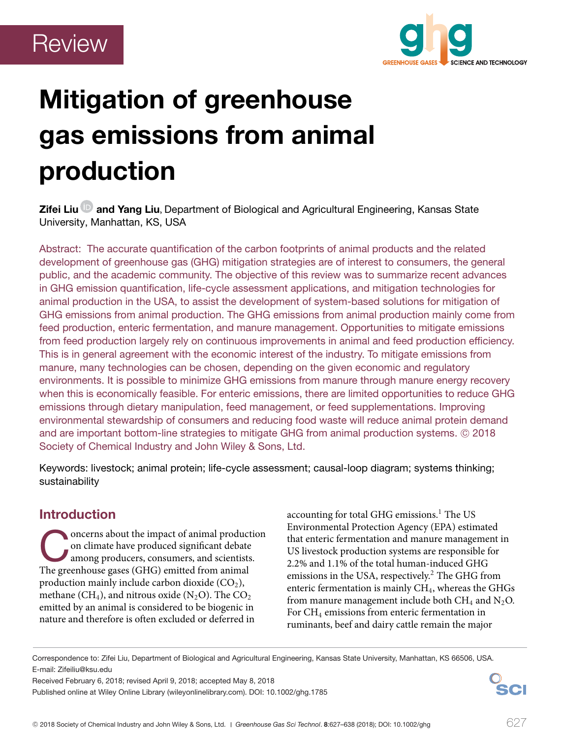

# **Mitigation of greenhouse gas emissions from animal production**

**Zifei Liu and Yang Liu**, Department of Biological and Agricultural Engineering, Kansas State University, Manhattan, KS, USA

Abstract: The accurate quantification of the carbon footprints of animal products and the related development of greenhouse gas (GHG) mitigation strategies are of interest to consumers, the general public, and the academic community. The objective of this review was to summarize recent advances in GHG emission quantification, life-cycle assessment applications, and mitigation technologies for animal production in the USA, to assist the development of system-based solutions for mitigation of GHG emissions from animal production. The GHG emissions from animal production mainly come from feed production, enteric fermentation, and manure management. Opportunities to mitigate emissions from feed production largely rely on continuous improvements in animal and feed production efficiency. This is in general agreement with the economic interest of the industry. To mitigate emissions from manure, many technologies can be chosen, depending on the given economic and regulatory environments. It is possible to minimize GHG emissions from manure through manure energy recovery when this is economically feasible. For enteric emissions, there are limited opportunities to reduce GHG emissions through dietary manipulation, feed management, or feed supplementations. Improving environmental stewardship of consumers and reducing food waste will reduce animal protein demand and are important bottom-line strategies to mitigate GHG from animal production systems.  $\copyright$  2018 Society of Chemical Industry and John Wiley & Sons, Ltd.

Keywords: livestock; animal protein; life-cycle assessment; causal-loop diagram; systems thinking; sustainability

# **Introduction**

Oncerns about the impact of animal production<br>
on climate have produced significant debate<br>
among producers, consumers, and scientists.<br>
The greenhouse gases (GHG) emitted from animal on climate have produced significant debate The greenhouse gases (GHG) emitted from animal production mainly include carbon dioxide  $(CO<sub>2</sub>)$ , methane (CH<sub>4</sub>), and nitrous oxide (N<sub>2</sub>O). The  $CO<sub>2</sub>$ emitted by an animal is considered to be biogenic in nature and therefore is often excluded or deferred in

accounting for total GHG emissions.<sup>1</sup> The US Environmental Protection Agency (EPA) estimated that enteric fermentation and manure management in US livestock production systems are responsible for 2.2% and 1.1% of the total human-induced GHG emissions in the USA, respectively.<sup>2</sup> The GHG from enteric fermentation is mainly CH<sub>4</sub>, whereas the GHGs from manure management include both  $CH_4$  and  $N_2O$ . For CH4 emissions from enteric fermentation in ruminants, beef and dairy cattle remain the major

Received February 6, 2018; revised April 9, 2018; accepted May 8, 2018

Published online at Wiley Online Library (wileyonlinelibrary.com). DOI: 10.1002/ghg.1785



Correspondence to: Zifei Liu, Department of Biological and Agricultural Engineering, Kansas State University, Manhattan, KS 66506, USA. E-mail: Zifeiliu@ksu.edu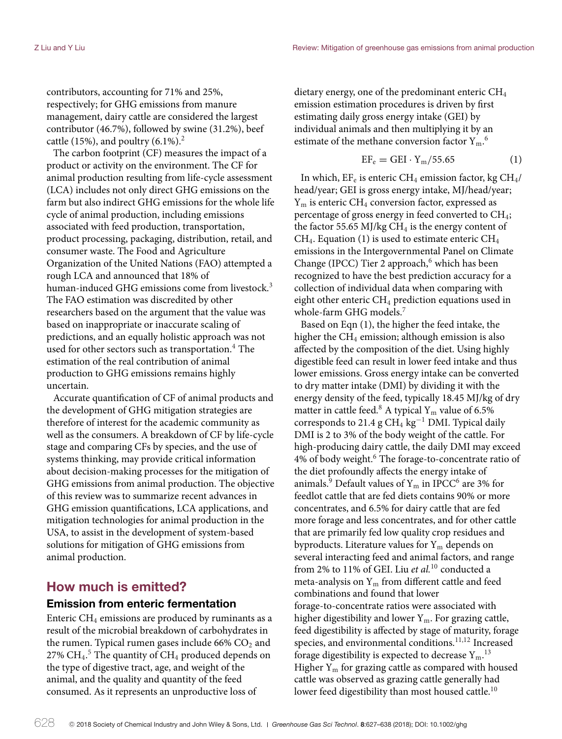contributors, accounting for 71% and 25%, respectively; for GHG emissions from manure management, dairy cattle are considered the largest contributor (46.7%), followed by swine (31.2%), beef cattle (15%), and poultry  $(6.1\%)^2$ 

The carbon footprint (CF) measures the impact of a product or activity on the environment. The CF for animal production resulting from life-cycle assessment (LCA) includes not only direct GHG emissions on the farm but also indirect GHG emissions for the whole life cycle of animal production, including emissions associated with feed production, transportation, product processing, packaging, distribution, retail, and consumer waste. The Food and Agriculture Organization of the United Nations (FAO) attempted a rough LCA and announced that 18% of human-induced GHG emissions come from livestock.<sup>3</sup> The FAO estimation was discredited by other researchers based on the argument that the value was based on inappropriate or inaccurate scaling of predictions, and an equally holistic approach was not used for other sectors such as transportation.<sup>4</sup> The estimation of the real contribution of animal production to GHG emissions remains highly uncertain.

Accurate quantification of CF of animal products and the development of GHG mitigation strategies are therefore of interest for the academic community as well as the consumers. A breakdown of CF by life-cycle stage and comparing CFs by species, and the use of systems thinking, may provide critical information about decision-making processes for the mitigation of GHG emissions from animal production. The objective of this review was to summarize recent advances in GHG emission quantifications, LCA applications, and mitigation technologies for animal production in the USA, to assist in the development of system-based solutions for mitigation of GHG emissions from animal production.

## **How much is emitted?**

## **Emission from enteric fermentation**

Enteric  $CH_4$  emissions are produced by ruminants as a result of the microbial breakdown of carbohydrates in the rumen. Typical rumen gases include  $66\%$  CO<sub>2</sub> and 27%  $\rm CH_4.^5$  The quantity of  $\rm CH_4$  produced depends on the type of digestive tract, age, and weight of the animal, and the quality and quantity of the feed consumed. As it represents an unproductive loss of

dietary energy, one of the predominant enteric CH4 emission estimation procedures is driven by first estimating daily gross energy intake (GEI) by individual animals and then multiplying it by an estimate of the methane conversion factor  $Y_m$ .<sup>6</sup>

$$
EF_e = GEI \cdot Y_m / 55.65 \tag{1}
$$

In which,  $EF_e$  is enteric CH<sub>4</sub> emission factor, kg CH<sub>4</sub>/ head/year; GEI is gross energy intake, MJ/head/year;  $Y<sub>m</sub>$  is enteric CH<sub>4</sub> conversion factor, expressed as percentage of gross energy in feed converted to  $CH_4$ ; the factor 55.65 MJ/kg  $CH<sub>4</sub>$  is the energy content of  $CH_4$ . Equation (1) is used to estimate enteric  $CH_4$ emissions in the Intergovernmental Panel on Climate Change (IPCC) Tier 2 approach, $6$  which has been recognized to have the best prediction accuracy for a collection of individual data when comparing with eight other enteric  $CH_4$  prediction equations used in whole-farm GHG models.<sup>7</sup>

Based on Eqn (1), the higher the feed intake, the higher the  $CH_4$  emission; although emission is also affected by the composition of the diet. Using highly digestible feed can result in lower feed intake and thus lower emissions. Gross energy intake can be converted to dry matter intake (DMI) by dividing it with the energy density of the feed, typically 18.45 MJ/kg of dry matter in cattle feed.<sup>8</sup> A typical  $Y_m$  value of 6.5% corresponds to 21.4 g CH<sub>4</sub> kg<sup>-1</sup> DMI. Typical daily DMI is 2 to 3% of the body weight of the cattle. For high-producing dairy cattle, the daily DMI may exceed 4% of body weight.<sup>6</sup> The forage-to-concentrate ratio of the diet profoundly affects the energy intake of animals.<sup>9</sup> Default values of  $Y_m$  in IPCC<sup>6</sup> are 3% for feedlot cattle that are fed diets contains 90% or more concentrates, and 6.5% for dairy cattle that are fed more forage and less concentrates, and for other cattle that are primarily fed low quality crop residues and byproducts. Literature values for  $Y_m$  depends on several interacting feed and animal factors, and range from 2% to 11% of GEI. Liu *et al.*<sup>10</sup> conducted a meta-analysis on  $Y_m$  from different cattle and feed combinations and found that lower forage-to-concentrate ratios were associated with higher digestibility and lower  $Y_m$ . For grazing cattle, feed digestibility is affected by stage of maturity, forage species, and environmental conditions.<sup>11,12</sup> Increased forage digestibility is expected to decrease  $Y_m$ .<sup>13</sup> Higher  $Y_m$  for grazing cattle as compared with housed cattle was observed as grazing cattle generally had lower feed digestibility than most housed cattle.<sup>10</sup>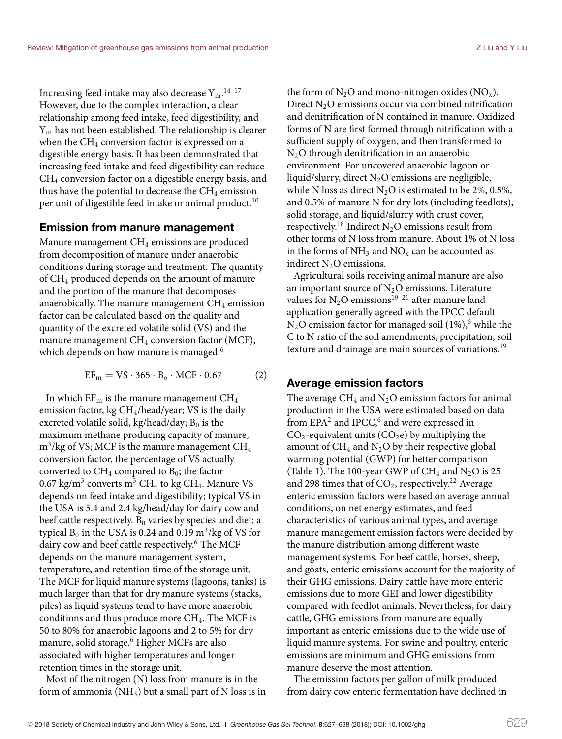Increasing feed intake may also decrease  ${\rm Y_m}.^{\rm 14-17}$ However, due to the complex interaction, a clear relationship among feed intake, feed digestibility, and  $Y<sub>m</sub>$  has not been established. The relationship is clearer when the  $CH_4$  conversion factor is expressed on a digestible energy basis. It has been demonstrated that increasing feed intake and feed digestibility can reduce  $CH<sub>4</sub>$  conversion factor on a digestible energy basis, and thus have the potential to decrease the  $CH_4$  emission per unit of digestible feed intake or animal product.<sup>10</sup>

#### **Emission from manure management**

Manure management CH<sub>4</sub> emissions are produced from decomposition of manure under anaerobic conditions during storage and treatment. The quantity of CH4 produced depends on the amount of manure and the portion of the manure that decomposes anaerobically. The manure management  $CH<sub>4</sub>$  emission factor can be calculated based on the quality and quantity of the excreted volatile solid (VS) and the manure management CH<sub>4</sub> conversion factor (MCF), which depends on how manure is managed.<sup>6</sup>

 $EF_m = VS \cdot 365 \cdot B_o \cdot MCF \cdot 0.67$  (2)

In which  $EF_m$  is the manure management  $CH_4$ emission factor, kg CH4/head/year; VS is the daily excreted volatile solid, kg/head/day;  $B_0$  is the maximum methane producing capacity of manure,  $m^3$ /kg of VS; MCF is the manure management CH<sub>4</sub> conversion factor, the percentage of VS actually converted to  $CH_4$  compared to  $B_0$ ; the factor 0.67 kg/m<sup>3</sup> converts m<sup>3</sup> CH<sub>4</sub> to kg CH<sub>4</sub>. Manure VS depends on feed intake and digestibility; typical VS in the USA is 5.4 and 2.4 kg/head/day for dairy cow and beef cattle respectively.  $B_0$  varies by species and diet; a typical  $B_0$  in the USA is 0.24 and 0.19 m<sup>3</sup>/kg of VS for dairy cow and beef cattle respectively.<sup>6</sup> The MCF depends on the manure management system, temperature, and retention time of the storage unit. The MCF for liquid manure systems (lagoons, tanks) is much larger than that for dry manure systems (stacks, piles) as liquid systems tend to have more anaerobic conditions and thus produce more  $CH<sub>4</sub>$ . The MCF is 50 to 80% for anaerobic lagoons and 2 to 5% for dry manure, solid storage.<sup>6</sup> Higher MCFs are also associated with higher temperatures and longer retention times in the storage unit.

Most of the nitrogen (N) loss from manure is in the form of ammonia ( $NH<sub>3</sub>$ ) but a small part of N loss is in the form of  $N_2O$  and mono-nitrogen oxides ( $NO_x$ ). Direct  $N<sub>2</sub>O$  emissions occur via combined nitrification and denitrification of N contained in manure. Oxidized forms of N are first formed through nitrification with a sufficient supply of oxygen, and then transformed to  $N<sub>2</sub>O$  through denitrification in an anaerobic environment. For uncovered anaerobic lagoon or liquid/slurry, direct  $N_2O$  emissions are negligible, while N loss as direct  $N_2O$  is estimated to be 2%, 0.5%, and 0.5% of manure N for dry lots (including feedlots), solid storage, and liquid/slurry with crust cover, respectively.<sup>18</sup> Indirect N<sub>2</sub>O emissions result from other forms of N loss from manure. About 1% of N loss in the forms of  $NH_3$  and  $NO_x$  can be accounted as indirect  $N_2O$  emissions.

Agricultural soils receiving animal manure are also an important source of  $N_2O$  emissions. Literature values for  $N_2O$  emissions<sup>19–21</sup> after manure land application generally agreed with the IPCC default  $N_2O$  emission factor for managed soil (1%),<sup>6</sup> while the C to N ratio of the soil amendments, precipitation, soil texture and drainage are main sources of variations.<sup>19</sup>

## **Average emission factors**

The average CH<sub>4</sub> and  $N_2O$  emission factors for animal production in the USA were estimated based on data from  $EPA<sup>2</sup>$  and IPCC,<sup>6</sup> and were expressed in  $CO_2$ -equivalent units ( $CO_2$ e) by multiplying the amount of  $CH_4$  and  $N_2O$  by their respective global warming potential (GWP) for better comparison (Table 1). The 100-year GWP of  $CH_4$  and  $N_2O$  is 25 and 298 times that of  $CO_2$ , respectively.<sup>22</sup> Average enteric emission factors were based on average annual conditions, on net energy estimates, and feed characteristics of various animal types, and average manure management emission factors were decided by the manure distribution among different waste management systems. For beef cattle, horses, sheep, and goats, enteric emissions account for the majority of their GHG emissions. Dairy cattle have more enteric emissions due to more GEI and lower digestibility compared with feedlot animals. Nevertheless, for dairy cattle, GHG emissions from manure are equally important as enteric emissions due to the wide use of liquid manure systems. For swine and poultry, enteric emissions are minimum and GHG emissions from manure deserve the most attention.

The emission factors per gallon of milk produced from dairy cow enteric fermentation have declined in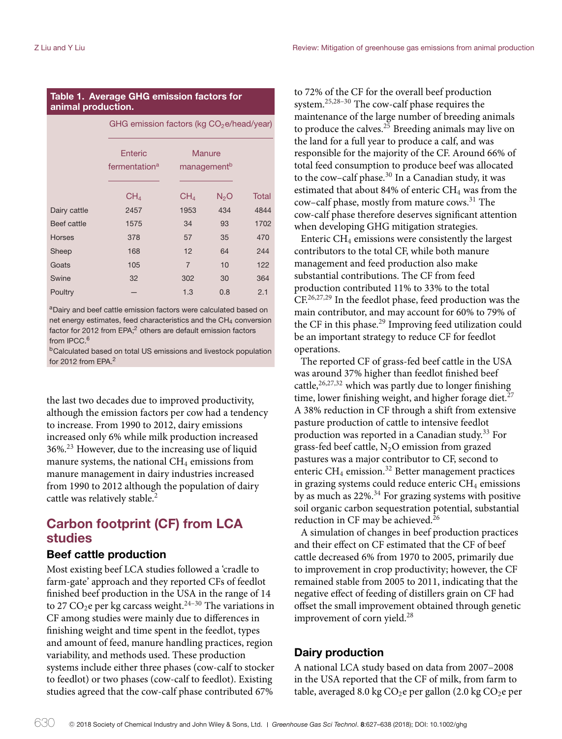#### **Table 1. Average GHG emission factors for animal production.**

|               | GHG emission factors (kg CO <sub>2</sub> e/head/year) |                                   |                  |       |
|---------------|-------------------------------------------------------|-----------------------------------|------------------|-------|
|               | Enteric<br>fermentation <sup>a</sup>                  | Manure<br>management <sup>b</sup> |                  |       |
|               |                                                       |                                   |                  |       |
|               | CH <sub>4</sub>                                       | CH <sub>4</sub>                   | N <sub>2</sub> O | Total |
| Dairy cattle  | 2457                                                  | 1953                              | 434              | 4844  |
| Beef cattle   | 1575                                                  | 34                                | 93               | 1702  |
| <b>Horses</b> | 378                                                   | 57                                | 35               | 470   |
| Sheep         | 168                                                   | 12                                | 64               | 244   |
| Goats         | 105                                                   | $\overline{7}$                    | 10               | 122   |
| Swine         | 32                                                    | 302                               | 30               | 364   |
| Poultry       |                                                       | 1.3                               | 0.8              | 2.1   |

aDairy and beef cattle emission factors were calculated based on net energy estimates, feed characteristics and the  $CH<sub>4</sub>$  conversion factor for 2012 from EPA;<sup>2</sup> others are default emission factors from IPCC.<sup>6</sup>

**bCalculated based on total US emissions and livestock population** for 2012 from EPA.2

the last two decades due to improved productivity, although the emission factors per cow had a tendency to increase. From 1990 to 2012, dairy emissions increased only 6% while milk production increased 36%.<sup>23</sup> However, due to the increasing use of liquid manure systems, the national  $CH<sub>4</sub>$  emissions from manure management in dairy industries increased from 1990 to 2012 although the population of dairy cattle was relatively stable.<sup>2</sup>

# **Carbon footprint (CF) from LCA studies**

## **Beef cattle production**

Most existing beef LCA studies followed a 'cradle to farm-gate' approach and they reported CFs of feedlot finished beef production in the USA in the range of 14 to 27 CO<sub>2</sub>e per kg carcass weight.<sup>24–30</sup> The variations in CF among studies were mainly due to differences in finishing weight and time spent in the feedlot, types and amount of feed, manure handling practices, region variability, and methods used. These production systems include either three phases (cow-calf to stocker to feedlot) or two phases (cow-calf to feedlot). Existing studies agreed that the cow-calf phase contributed 67%

to 72% of the CF for the overall beef production system.25,28–30 The cow-calf phase requires the maintenance of the large number of breeding animals to produce the calves.<sup>25</sup> Breeding animals may live on the land for a full year to produce a calf, and was responsible for the majority of the CF. Around 66% of total feed consumption to produce beef was allocated to the cow-calf phase. $30 \text{ In a Canadian study, it was}$ estimated that about 84% of enteric CH<sub>4</sub> was from the cow–calf phase, mostly from mature cows.<sup>31</sup> The cow-calf phase therefore deserves significant attention when developing GHG mitigation strategies.

Enteric  $CH_4$  emissions were consistently the largest contributors to the total CF, while both manure management and feed production also make substantial contributions. The CF from feed production contributed 11% to 33% to the total CF.<sup>26,27,29</sup> In the feedlot phase, feed production was the main contributor, and may account for 60% to 79% of the CF in this phase.<sup>29</sup> Improving feed utilization could be an important strategy to reduce CF for feedlot operations.

The reported CF of grass-fed beef cattle in the USA was around 37% higher than feedlot finished beef cattle, $26,27,32$  which was partly due to longer finishing time, lower finishing weight, and higher forage diet.<sup>27</sup> A 38% reduction in CF through a shift from extensive pasture production of cattle to intensive feedlot production was reported in a Canadian study.<sup>33</sup> For grass-fed beef cattle,  $N_2O$  emission from grazed pastures was a major contributor to CF, second to enteric  $CH_4$  emission.<sup>32</sup> Better management practices in grazing systems could reduce enteric  $CH<sub>4</sub>$  emissions by as much as  $22\%$ .<sup>34</sup> For grazing systems with positive soil organic carbon sequestration potential, substantial reduction in CF may be achieved.<sup>26</sup>

A simulation of changes in beef production practices and their effect on CF estimated that the CF of beef cattle decreased 6% from 1970 to 2005, primarily due to improvement in crop productivity; however, the CF remained stable from 2005 to 2011, indicating that the negative effect of feeding of distillers grain on CF had offset the small improvement obtained through genetic improvement of corn yield.28

## **Dairy production**

A national LCA study based on data from 2007–2008 in the USA reported that the CF of milk, from farm to table, averaged 8.0 kg  $CO<sub>2</sub>e$  per gallon (2.0 kg  $CO<sub>2</sub>e$  per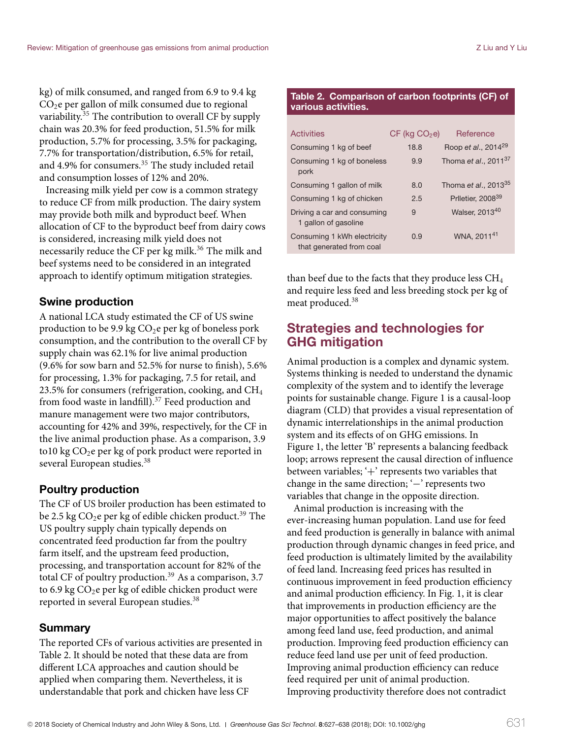kg) of milk consumed, and ranged from 6.9 to 9.4 kg  $CO<sub>2</sub>e$  per gallon of milk consumed due to regional variability.<sup>35</sup> The contribution to overall CF by supply chain was 20.3% for feed production, 51.5% for milk production, 5.7% for processing, 3.5% for packaging, 7.7% for transportation/distribution, 6.5% for retail, and 4.9% for consumers.<sup>35</sup> The study included retail and consumption losses of 12% and 20%.

Increasing milk yield per cow is a common strategy to reduce CF from milk production. The dairy system may provide both milk and byproduct beef. When allocation of CF to the byproduct beef from dairy cows is considered, increasing milk yield does not necessarily reduce the CF per kg milk.<sup>36</sup> The milk and beef systems need to be considered in an integrated approach to identify optimum mitigation strategies.

## **Swine production**

A national LCA study estimated the CF of US swine production to be 9.9 kg  $CO<sub>2</sub>e$  per kg of boneless pork consumption, and the contribution to the overall CF by supply chain was 62.1% for live animal production (9.6% for sow barn and 52.5% for nurse to finish), 5.6% for processing, 1.3% for packaging, 7.5 for retail, and 23.5% for consumers (refrigeration, cooking, and  $CH<sub>4</sub>$ from food waste in landfill).<sup>37</sup> Feed production and manure management were two major contributors, accounting for 42% and 39%, respectively, for the CF in the live animal production phase. As a comparison, 3.9 to10 kg  $CO<sub>2</sub>e$  per kg of pork product were reported in several European studies.<sup>38</sup>

## **Poultry production**

The CF of US broiler production has been estimated to be 2.5 kg  $CO<sub>2</sub>e$  per kg of edible chicken product.<sup>39</sup> The US poultry supply chain typically depends on concentrated feed production far from the poultry farm itself, and the upstream feed production, processing, and transportation account for 82% of the total CF of poultry production.<sup>39</sup> As a comparison, 3.7 to 6.9 kg  $CO<sub>2</sub>e$  per kg of edible chicken product were reported in several European studies.<sup>38</sup>

## **Summary**

The reported CFs of various activities are presented in Table 2. It should be noted that these data are from different LCA approaches and caution should be applied when comparing them. Nevertheless, it is understandable that pork and chicken have less CF

#### **Table 2. Comparison of carbon footprints (CF) of various activities.**

| Activities                                              | $CF$ (kg $CO2e$ ) | Reference                       |
|---------------------------------------------------------|-------------------|---------------------------------|
| Consuming 1 kg of beef                                  | 18.8              | Roop et al., 2014 <sup>29</sup> |
| Consuming 1 kg of boneless<br>pork                      | 9.9               | Thoma et al., $2011^{37}$       |
| Consuming 1 gallon of milk                              | 8.0               | Thoma et al., $2013^{35}$       |
| Consuming 1 kg of chicken                               | 2.5               | Prlletier, 2008 <sup>39</sup>   |
| Driving a car and consuming<br>1 gallon of gasoline     | 9                 | Walser, 201340                  |
| Consuming 1 kWh electricity<br>that generated from coal | 0.9               | WNA, 2011 <sup>41</sup>         |

than beef due to the facts that they produce less  $CH_4$ and require less feed and less breeding stock per kg of meat produced.<sup>38</sup>

# **Strategies and technologies for GHG mitigation**

Animal production is a complex and dynamic system. Systems thinking is needed to understand the dynamic complexity of the system and to identify the leverage points for sustainable change. Figure 1 is a causal-loop diagram (CLD) that provides a visual representation of dynamic interrelationships in the animal production system and its effects of on GHG emissions. In Figure 1, the letter 'B' represents a balancing feedback loop; arrows represent the causal direction of influence between variables; '+' represents two variables that change in the same direction; '−' represents two variables that change in the opposite direction.

Animal production is increasing with the ever-increasing human population. Land use for feed and feed production is generally in balance with animal production through dynamic changes in feed price, and feed production is ultimately limited by the availability of feed land. Increasing feed prices has resulted in continuous improvement in feed production efficiency and animal production efficiency. In Fig. 1, it is clear that improvements in production efficiency are the major opportunities to affect positively the balance among feed land use, feed production, and animal production. Improving feed production efficiency can reduce feed land use per unit of feed production. Improving animal production efficiency can reduce feed required per unit of animal production. Improving productivity therefore does not contradict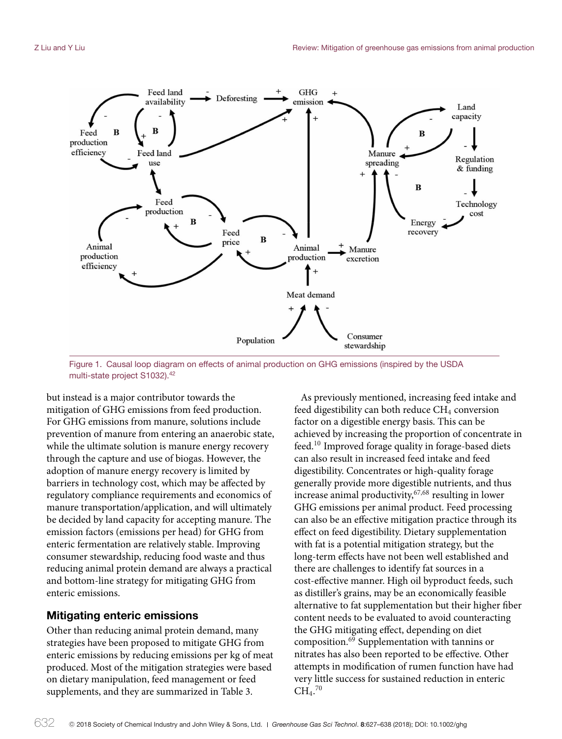

Figure 1. Causal loop diagram on effects of animal production on GHG emissions (inspired by the USDA multi-state project S1032).<sup>42</sup>

but instead is a major contributor towards the mitigation of GHG emissions from feed production. For GHG emissions from manure, solutions include prevention of manure from entering an anaerobic state, while the ultimate solution is manure energy recovery through the capture and use of biogas. However, the adoption of manure energy recovery is limited by barriers in technology cost, which may be affected by regulatory compliance requirements and economics of manure transportation/application, and will ultimately be decided by land capacity for accepting manure. The emission factors (emissions per head) for GHG from enteric fermentation are relatively stable. Improving consumer stewardship, reducing food waste and thus reducing animal protein demand are always a practical and bottom-line strategy for mitigating GHG from enteric emissions.

## **Mitigating enteric emissions**

Other than reducing animal protein demand, many strategies have been proposed to mitigate GHG from enteric emissions by reducing emissions per kg of meat produced. Most of the mitigation strategies were based on dietary manipulation, feed management or feed supplements, and they are summarized in Table 3.

As previously mentioned, increasing feed intake and feed digestibility can both reduce  $CH_4$  conversion factor on a digestible energy basis. This can be achieved by increasing the proportion of concentrate in feed.<sup>10</sup> Improved forage quality in forage-based diets can also result in increased feed intake and feed digestibility. Concentrates or high-quality forage generally provide more digestible nutrients, and thus increase animal productivity, <sup>67,68</sup> resulting in lower GHG emissions per animal product. Feed processing can also be an effective mitigation practice through its effect on feed digestibility. Dietary supplementation with fat is a potential mitigation strategy, but the long-term effects have not been well established and there are challenges to identify fat sources in a cost-effective manner. High oil byproduct feeds, such as distiller's grains, may be an economically feasible alternative to fat supplementation but their higher fiber content needs to be evaluated to avoid counteracting the GHG mitigating effect, depending on diet composition.<sup>69</sup> Supplementation with tannins or nitrates has also been reported to be effective. Other attempts in modification of rumen function have had very little success for sustained reduction in enteric  $CH<sub>4</sub>$ .<sup>70</sup>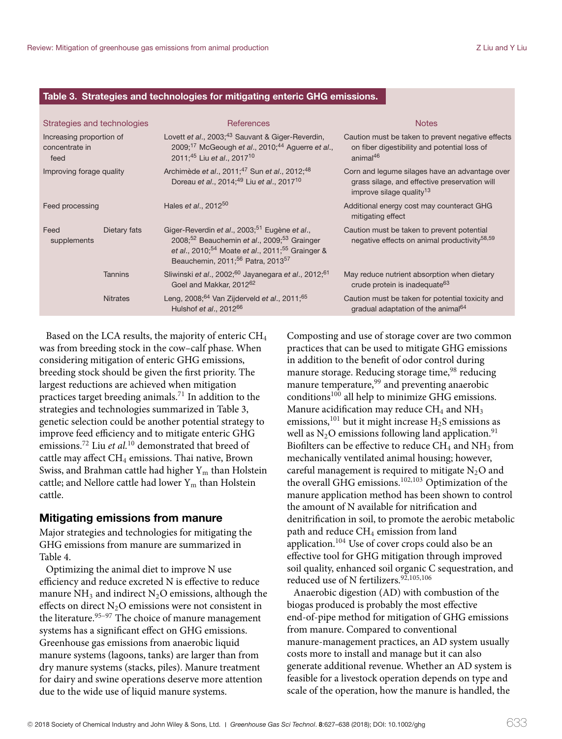#### **Table 3. Strategies and technologies for mitigating enteric GHG emissions.**

| Strategies and technologies                        |                 | <b>References</b>                                                                                                                                                                                                                                                         | <b>Notes</b>                                                                                                                            |
|----------------------------------------------------|-----------------|---------------------------------------------------------------------------------------------------------------------------------------------------------------------------------------------------------------------------------------------------------------------------|-----------------------------------------------------------------------------------------------------------------------------------------|
| Increasing proportion of<br>concentrate in<br>feed |                 | Lovett et al., 2003; <sup>43</sup> Sauvant & Giger-Reverdin,<br>$2009;^{17}$ McGeough et al., 2010; <sup>44</sup> Aguerre et al.,<br>2011:45 Liu et al., 2017 <sup>10</sup>                                                                                               | Caution must be taken to prevent negative effects<br>on fiber digestibility and potential loss of<br>animal $46$                        |
| Improving forage quality                           |                 | Archimède et al., 2011; <sup>47</sup> Sun et al., 2012; <sup>48</sup><br>Doreau et al., 2014; <sup>49</sup> Liu et al., 2017 <sup>10</sup>                                                                                                                                | Corn and legume silages have an advantage over<br>grass silage, and effective preservation will<br>improve silage quality <sup>13</sup> |
| Feed processing                                    |                 | Hales <i>et al.</i> , $2012^{50}$                                                                                                                                                                                                                                         | Additional energy cost may counteract GHG<br>mitigating effect                                                                          |
| Feed<br>supplements                                | Dietary fats    | Giger-Reverdin et al., 2003; <sup>51</sup> Eugène et al.,<br>2008; <sup>52</sup> Beauchemin et al., 2009; <sup>53</sup> Grainger<br>et al., 2010; <sup>54</sup> Moate et al., 2011; <sup>55</sup> Grainger &<br>Beauchemin. 2011: <sup>56</sup> Patra, 2013 <sup>57</sup> | Caution must be taken to prevent potential<br>negative effects on animal productivity <sup>58,59</sup>                                  |
|                                                    | <b>Tannins</b>  | Sliwinski et al., 2002; <sup>60</sup> Jayanegara et al., 2012; <sup>61</sup><br>Goel and Makkar, 2012 <sup>62</sup>                                                                                                                                                       | May reduce nutrient absorption when dietary<br>crude protein is inadequate <sup>63</sup>                                                |
|                                                    | <b>Nitrates</b> | Leng, 2008; <sup>64</sup> Van Zijderveld et al., 2011; <sup>65</sup><br>Hulshof et al., 2012 <sup>66</sup>                                                                                                                                                                | Caution must be taken for potential toxicity and<br>gradual adaptation of the animal <sup>64</sup>                                      |
|                                                    |                 |                                                                                                                                                                                                                                                                           |                                                                                                                                         |

Based on the LCA results, the majority of enteric CH4 was from breeding stock in the cow–calf phase. When considering mitigation of enteric GHG emissions, breeding stock should be given the first priority. The largest reductions are achieved when mitigation practices target breeding animals.<sup>71</sup> In addition to the strategies and technologies summarized in Table 3, genetic selection could be another potential strategy to improve feed efficiency and to mitigate enteric GHG emissions.72 Liu *et al.*<sup>10</sup> demonstrated that breed of cattle may affect CH<sub>4</sub> emissions. Thai native, Brown Swiss, and Brahman cattle had higher  $Y_m$  than Holstein cattle; and Nellore cattle had lower  $Y_m$  than Holstein cattle.

#### **Mitigating emissions from manure**

Major strategies and technologies for mitigating the GHG emissions from manure are summarized in Table 4.

Optimizing the animal diet to improve N use efficiency and reduce excreted N is effective to reduce manure  $NH_3$  and indirect  $N_2O$  emissions, although the effects on direct  $N_2O$  emissions were not consistent in the literature.<sup>95-97</sup> The choice of manure management systems has a significant effect on GHG emissions. Greenhouse gas emissions from anaerobic liquid manure systems (lagoons, tanks) are larger than from dry manure systems (stacks, piles). Manure treatment for dairy and swine operations deserve more attention due to the wide use of liquid manure systems.

Composting and use of storage cover are two common practices that can be used to mitigate GHG emissions in addition to the benefit of odor control during manure storage. Reducing storage time,<sup>98</sup> reducing manure temperature,<sup>99</sup> and preventing anaerobic conditions100 all help to minimize GHG emissions. Manure acidification may reduce  $CH_4$  and  $NH_3$ emissions,<sup>101</sup> but it might increase  $H_2S$  emissions as well as  $N_2O$  emissions following land application.<sup>91</sup> Biofilters can be effective to reduce  $CH_4$  and  $NH_3$  from mechanically ventilated animal housing; however, careful management is required to mitigate  $N_2O$  and the overall GHG emissions.102,103 Optimization of the manure application method has been shown to control the amount of N available for nitrification and denitrification in soil, to promote the aerobic metabolic path and reduce CH<sub>4</sub> emission from land application.<sup>104</sup> Use of cover crops could also be an effective tool for GHG mitigation through improved soil quality, enhanced soil organic C sequestration, and reduced use of N fertilizers.<sup>92,105,106</sup>

Anaerobic digestion (AD) with combustion of the biogas produced is probably the most effective end-of-pipe method for mitigation of GHG emissions from manure. Compared to conventional manure-management practices, an AD system usually costs more to install and manage but it can also generate additional revenue. Whether an AD system is feasible for a livestock operation depends on type and scale of the operation, how the manure is handled, the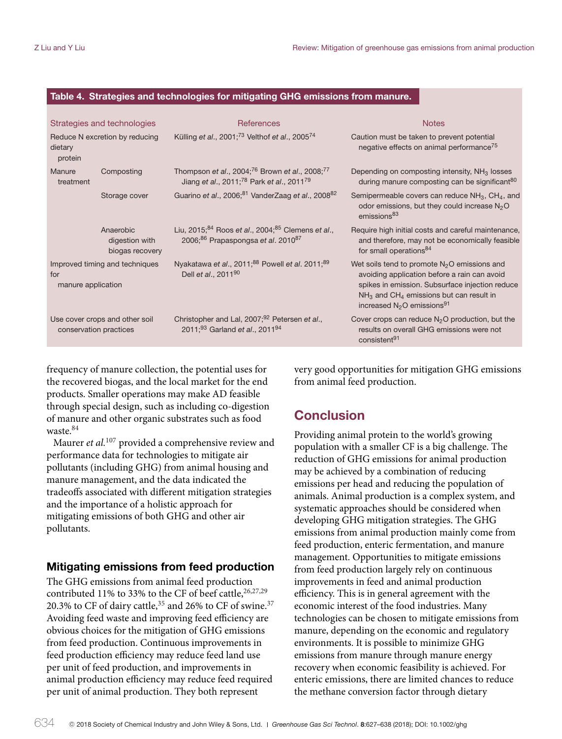#### **Table 4. Strategies and technologies for mitigating GHG emissions from manure.**

|                           | Strategies and technologies                    | <b>References</b>                                                                                                                           | <b>Notes</b>                                                                                                                                                                                                                                                    |
|---------------------------|------------------------------------------------|---------------------------------------------------------------------------------------------------------------------------------------------|-----------------------------------------------------------------------------------------------------------------------------------------------------------------------------------------------------------------------------------------------------------------|
| dietary<br>protein        | Reduce N excretion by reducing                 | Külling et al., $200173$ Velthof et al., $200574$                                                                                           | Caution must be taken to prevent potential<br>negative effects on animal performance <sup>75</sup>                                                                                                                                                              |
| Manure<br>treatment       | Composting                                     | Thompson et al., 2004; <sup>76</sup> Brown et al., 2008; <sup>77</sup><br>Jiang et al., 2011; <sup>78</sup> Park et al., 2011 <sup>79</sup> | Depending on composting intensity, NH <sub>3</sub> losses<br>during manure composting can be significant <sup>80</sup>                                                                                                                                          |
|                           | Storage cover                                  | Guarino et al., 2006; <sup>81</sup> VanderZaag et al., 2008 <sup>82</sup>                                                                   | Semipermeable covers can reduce $NH_3$ , $CH_4$ , and<br>odor emissions, but they could increase $N2O$<br>emissions <sup>83</sup>                                                                                                                               |
|                           | Anaerobic<br>digestion with<br>biogas recovery | Liu, 2015; <sup>84</sup> Roos et al., 2004; <sup>85</sup> Clemens et al.,<br>2006; <sup>86</sup> Prapaspongsa et al. 2010 <sup>87</sup>     | Require high initial costs and careful maintenance,<br>and therefore, may not be economically feasible<br>for small operations <sup>84</sup>                                                                                                                    |
| for<br>manure application | Improved timing and techniques                 | Nyakatawa et al., 2011; <sup>88</sup> Powell et al. 2011; <sup>89</sup><br>Dell et al., 2011 <sup>90</sup>                                  | Wet soils tend to promote $N2O$ emissions and<br>avoiding application before a rain can avoid<br>spikes in emission. Subsurface injection reduce<br>$NH3$ and CH <sub>4</sub> emissions but can result in<br>increased N <sub>2</sub> O emissions <sup>91</sup> |
| conservation practices    | Use cover crops and other soil                 | Christopher and Lal, 2007; <sup>92</sup> Petersen et al.,<br>2011; <sup>93</sup> Garland et al., 2011 <sup>94</sup>                         | Cover crops can reduce $N_2O$ production, but the<br>results on overall GHG emissions were not<br>consistent <sup>91</sup>                                                                                                                                      |

frequency of manure collection, the potential uses for the recovered biogas, and the local market for the end products. Smaller operations may make AD feasible through special design, such as including co-digestion of manure and other organic substrates such as food waste.<sup>84</sup>

Maurer *et al.*<sup>107</sup> provided a comprehensive review and performance data for technologies to mitigate air pollutants (including GHG) from animal housing and manure management, and the data indicated the tradeoffs associated with different mitigation strategies and the importance of a holistic approach for mitigating emissions of both GHG and other air pollutants.

#### **Mitigating emissions from feed production**

The GHG emissions from animal feed production contributed 11% to 33% to the CF of beef cattle, 26,27,29 20.3% to CF of dairy cattle,  $35$  and 26% to CF of swine.  $37$ Avoiding feed waste and improving feed efficiency are obvious choices for the mitigation of GHG emissions from feed production. Continuous improvements in feed production efficiency may reduce feed land use per unit of feed production, and improvements in animal production efficiency may reduce feed required per unit of animal production. They both represent

very good opportunities for mitigation GHG emissions from animal feed production.

## **Conclusion**

Providing animal protein to the world's growing population with a smaller CF is a big challenge. The reduction of GHG emissions for animal production may be achieved by a combination of reducing emissions per head and reducing the population of animals. Animal production is a complex system, and systematic approaches should be considered when developing GHG mitigation strategies. The GHG emissions from animal production mainly come from feed production, enteric fermentation, and manure management. Opportunities to mitigate emissions from feed production largely rely on continuous improvements in feed and animal production efficiency. This is in general agreement with the economic interest of the food industries. Many technologies can be chosen to mitigate emissions from manure, depending on the economic and regulatory environments. It is possible to minimize GHG emissions from manure through manure energy recovery when economic feasibility is achieved. For enteric emissions, there are limited chances to reduce the methane conversion factor through dietary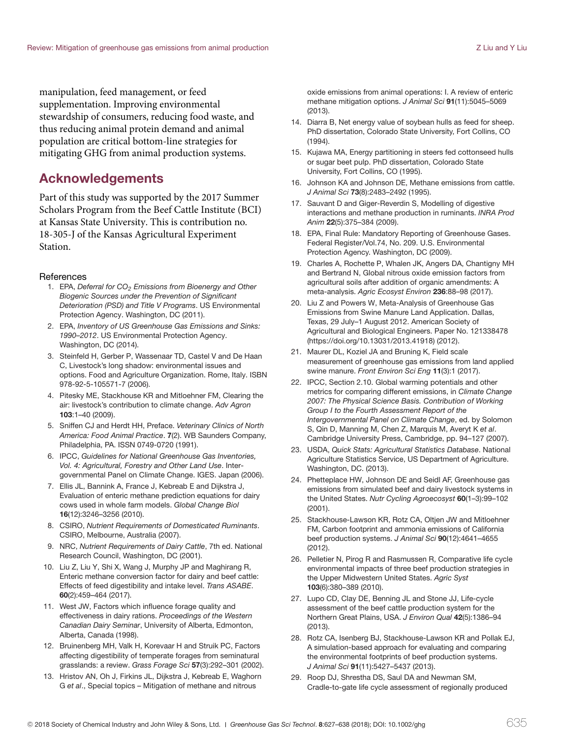manipulation, feed management, or feed supplementation. Improving environmental stewardship of consumers, reducing food waste, and thus reducing animal protein demand and animal population are critical bottom-line strategies for mitigating GHG from animal production systems.

## **Acknowledgements**

Part of this study was supported by the 2017 Summer Scholars Program from the Beef Cattle Institute (BCI) at Kansas State University. This is contribution no. 18-305-J of the Kansas Agricultural Experiment Station.

#### **References**

- 1. EPA, Deferral for  $CO<sub>2</sub>$  Emissions from Bioenergy and Other Biogenic Sources under the Prevention of Significant Deterioration (PSD) and Title V Programs. US Environmental Protection Agency. Washington, DC (2011).
- 2. EPA, Inventory of US Greenhouse Gas Emissions and Sinks: 1990–2012. US Environmental Protection Agency. Washington, DC (2014).
- 3. Steinfeld H, Gerber P, Wassenaar TD, Castel V and De Haan C, Livestock's long shadow: environmental issues and options. Food and Agriculture Organization. Rome, Italy. ISBN 978-92-5-105571-7 (2006).
- 4. Pitesky ME, Stackhouse KR and Mitloehner FM, Clearing the air: livestock's contribution to climate change. Adv Agron **103**:1–40 (2009).
- 5. Sniffen CJ and Herdt HH, Preface. Veterinary Clinics of North America: Food Animal Practice. **7**(2). WB Saunders Company, Philadelphia, PA. ISSN 0749-0720 (1991).
- 6. IPCC, Guidelines for National Greenhouse Gas Inventories, Vol. 4: Agricultural, Forestry and Other Land Use. Intergovernmental Panel on Climate Change. IGES. Japan (2006).
- 7. Ellis JL, Bannink A, France J, Kebreab E and Dijkstra J, Evaluation of enteric methane prediction equations for dairy cows used in whole farm models. Global Change Biol **16**(12):3246–3256 (2010).
- 8. CSIRO, Nutrient Requirements of Domesticated Ruminants. CSIRO, Melbourne, Australia (2007).
- 9. NRC, Nutrient Requirements of Dairy Cattle, 7th ed. National Research Council, Washington, DC (2001).
- 10. Liu Z, Liu Y, Shi X, Wang J, Murphy JP and Maghirang R, Enteric methane conversion factor for dairy and beef cattle: Effects of feed digestibility and intake level. Trans ASABE. **60**(2):459–464 (2017).
- 11. West JW, Factors which influence forage quality and effectiveness in dairy rations. Proceedings of the Western Canadian Dairy Seminar, University of Alberta, Edmonton, Alberta, Canada (1998).
- 12. Bruinenberg MH, Valk H, Korevaar H and Struik PC, Factors affecting digestibility of temperate forages from seminatural grasslands: a review. Grass Forage Sci **57**(3):292–301 (2002).
- 13. Hristov AN, Oh J, Firkins JL, Dijkstra J, Kebreab E, Waghorn G et al., Special topics – Mitigation of methane and nitrous

oxide emissions from animal operations: I. A review of enteric methane mitigation options. J Animal Sci **91**(11):5045–5069 (2013).

- 14. Diarra B, Net energy value of soybean hulls as feed for sheep. PhD dissertation, Colorado State University, Fort Collins, CO (1994).
- 15. Kujawa MA, Energy partitioning in steers fed cottonseed hulls or sugar beet pulp. PhD dissertation, Colorado State University, Fort Collins, CO (1995).
- 16. Johnson KA and Johnson DE, Methane emissions from cattle. J Animal Sci **73**(8):2483–2492 (1995).
- 17. Sauvant D and Giger-Reverdin S, Modelling of digestive interactions and methane production in ruminants. INRA Prod Anim **22**(5):375–384 (2009).
- 18. EPA, Final Rule: Mandatory Reporting of Greenhouse Gases. Federal Register/Vol.74, No. 209. U.S. Environmental Protection Agency. Washington, DC (2009).
- 19. Charles A, Rochette P, Whalen JK, Angers DA, Chantigny MH and Bertrand N, Global nitrous oxide emission factors from agricultural soils after addition of organic amendments: A meta-analysis. Agric Ecosyst Environ **236**:88–98 (2017).
- 20. Liu Z and Powers W, Meta-Analysis of Greenhouse Gas Emissions from Swine Manure Land Application. Dallas, Texas, 29 July–1 August 2012. American Society of Agricultural and Biological Engineers. Paper No. 121338478 (https://doi.org/10.13031/2013.41918) (2012).
- 21. Maurer DL, Koziel JA and Bruning K, Field scale measurement of greenhouse gas emissions from land applied swine manure. Front Environ Sci Eng **11**(3):1 (2017).
- 22. IPCC, Section 2.10. Global warming potentials and other metrics for comparing different emissions, in Climate Change 2007: The Physical Science Basis. Contribution of Working Group I to the Fourth Assessment Report of the Intergovernmental Panel on Climate Change, ed. by Solomon S, Qin D, Manning M, Chen Z, Marquis M, Averyt K et al. Cambridge University Press, Cambridge, pp. 94–127 (2007).
- 23. USDA, Quick Stats: Agricultural Statistics Database. National Agriculture Statistics Service, US Department of Agriculture. Washington, DC. (2013).
- 24. Phetteplace HW, Johnson DE and Seidl AF, Greenhouse gas emissions from simulated beef and dairy livestock systems in the United States. Nutr Cycling Agroecosyst **60**(1–3):99–102 (2001).
- 25. Stackhouse-Lawson KR, Rotz CA, Oltjen JW and Mitloehner FM, Carbon footprint and ammonia emissions of California beef production systems. J Animal Sci **90**(12):4641–4655 (2012).
- 26. Pelletier N, Pirog R and Rasmussen R, Comparative life cycle environmental impacts of three beef production strategies in the Upper Midwestern United States. Agric Syst **103**(6):380–389 (2010).
- 27. Lupo CD, Clay DE, Benning JL and Stone JJ, Life-cycle assessment of the beef cattle production system for the Northern Great Plains, USA. J Environ Qual **42**(5):1386–94 (2013).
- 28. Rotz CA, Isenberg BJ, Stackhouse-Lawson KR and Pollak EJ, A simulation-based approach for evaluating and comparing the environmental footprints of beef production systems. J Animal Sci **91**(11):5427–5437 (2013).
- 29. Roop DJ, Shrestha DS, Saul DA and Newman SM, Cradle-to-gate life cycle assessment of regionally produced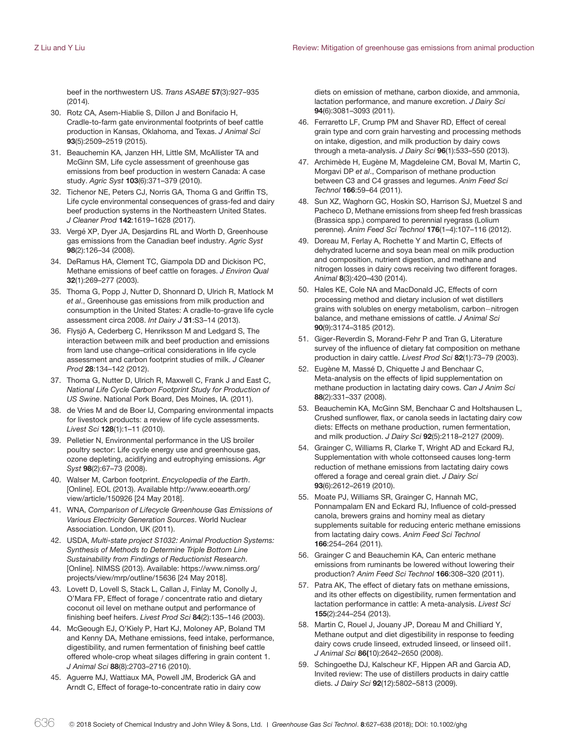beef in the northwestern US. Trans ASABE **57**(3):927–935 (2014).

- 30. Rotz CA, Asem-Hiablie S, Dillon J and Bonifacio H, Cradle-to-farm gate environmental footprints of beef cattle production in Kansas, Oklahoma, and Texas. J Animal Sci **93**(5):2509–2519 (2015).
- 31. Beauchemin KA, Janzen HH, Little SM, McAllister TA and McGinn SM, Life cycle assessment of greenhouse gas emissions from beef production in western Canada: A case study. Agric Syst **103**(6):371–379 (2010).
- 32. Tichenor NE, Peters CJ, Norris GA, Thoma G and Griffin TS, Life cycle environmental consequences of grass-fed and dairy beef production systems in the Northeastern United States. J Cleaner Prod **142**:1619–1628 (2017).
- 33. Vergé XP, Dyer JA, Desjardins RL and Worth D, Greenhouse gas emissions from the Canadian beef industry. Agric Syst **98**(2):126–34 (2008).
- 34. DeRamus HA, Clement TC, Giampola DD and Dickison PC, Methane emissions of beef cattle on forages. J Environ Qual **32**(1):269–277 (2003).
- 35. Thoma G, Popp J, Nutter D, Shonnard D, Ulrich R, Matlock M et al., Greenhouse gas emissions from milk production and consumption in the United States: A cradle-to-grave life cycle assessment circa 2008. Int Dairy J **31**:S3–14 (2013).
- 36. Flysjö A, Cederberg C, Henriksson M and Ledgard S, The interaction between milk and beef production and emissions from land use change–critical considerations in life cycle assessment and carbon footprint studies of milk. J Cleaner Prod **28**:134–142 (2012).
- 37. Thoma G, Nutter D, Ulrich R, Maxwell C, Frank J and East C, National Life Cycle Carbon Footprint Study for Production of US Swine. National Pork Board, Des Moines, IA. (2011).
- 38. de Vries M and de Boer IJ, Comparing environmental impacts for livestock products: a review of life cycle assessments. Livest Sci **128**(1):1–11 (2010).
- 39. Pelletier N, Environmental performance in the US broiler poultry sector: Life cycle energy use and greenhouse gas, ozone depleting, acidifying and eutrophying emissions. Agr Syst **98**(2):67–73 (2008).
- 40. Walser M, Carbon footprint. Encyclopedia of the Earth. [Online]. EOL (2013). Available http://www.eoearth.org/ view/article/150926 [24 May 2018].
- 41. WNA, Comparison of Lifecycle Greenhouse Gas Emissions of Various Electricity Generation Sources. World Nuclear Association. London, UK (2011).
- 42. USDA, Multi-state project S1032: Animal Production Systems: Synthesis of Methods to Determine Triple Bottom Line Sustainability from Findings of Reductionist Research. [Online]. NIMSS (2013). Available: https://www.nimss.org/ projects/view/mrp/outline/15636 [24 May 2018].
- 43. Lovett D, Lovell S, Stack L, Callan J, Finlay M, Conolly J, O'Mara FP, Effect of forage / concentrate ratio and dietary coconut oil level on methane output and performance of finishing beef heifers. Livest Prod Sci **84**(2):135–146 (2003).
- 44. McGeough EJ, O'Kiely P, Hart KJ, Moloney AP, Boland TM and Kenny DA, Methane emissions, feed intake, performance, digestibility, and rumen fermentation of finishing beef cattle offered whole-crop wheat silages differing in grain content 1. J Animal Sci **88**(8):2703–2716 (2010).
- 45. Aguerre MJ, Wattiaux MA, Powell JM, Broderick GA and Arndt C, Effect of forage-to-concentrate ratio in dairy cow

diets on emission of methane, carbon dioxide, and ammonia, lactation performance, and manure excretion. *J Dairy Sci* **94**(6):3081–3093 (2011).

- 46. Ferraretto LF, Crump PM and Shaver RD, Effect of cereal grain type and corn grain harvesting and processing methods on intake, digestion, and milk production by dairy cows through a meta-analysis. J Dairy Sci **96**(1):533–550 (2013).
- 47. Archimède H, Eugène M, Magdeleine CM, Boval M, Martin C, Morgavi DP et al., Comparison of methane production between C3 and C4 grasses and legumes. Anim Feed Sci Technol **166**:59–64 (2011).
- 48. Sun XZ, Waghorn GC, Hoskin SO, Harrison SJ, Muetzel S and Pacheco D, Methane emissions from sheep fed fresh brassicas (Brassica spp.) compared to perennial ryegrass (Lolium perenne). Anim Feed Sci Technol **176**(1–4):107–116 (2012).
- 49. Doreau M, Ferlay A, Rochette Y and Martin C, Effects of dehydrated lucerne and soya bean meal on milk production and composition, nutrient digestion, and methane and nitrogen losses in dairy cows receiving two different forages. Animal **8**(3):420–430 (2014).
- 50. Hales KE, Cole NA and MacDonald JC, Effects of corn processing method and dietary inclusion of wet distillers grains with solubles on energy metabolism, carbon−nitrogen balance, and methane emissions of cattle. J Animal Sci **90**(9):3174–3185 (2012).
- 51. Giger-Reverdin S, Morand-Fehr P and Tran G, Literature survey of the influence of dietary fat composition on methane production in dairy cattle. Livest Prod Sci **82**(1):73–79 (2003).
- 52. Eugène M, Massé D, Chiquette J and Benchaar C, Meta-analysis on the effects of lipid supplementation on methane production in lactating dairy cows. Can J Anim Sci **88**(2):331–337 (2008).
- 53. Beauchemin KA, McGinn SM, Benchaar C and Holtshausen L, Crushed sunflower, flax, or canola seeds in lactating dairy cow diets: Effects on methane production, rumen fermentation, and milk production. J Dairy Sci **92**(5):2118–2127 (2009).
- 54. Grainger C, Williams R, Clarke T, Wright AD and Eckard RJ, Supplementation with whole cottonseed causes long-term reduction of methane emissions from lactating dairy cows offered a forage and cereal grain diet. J Dairy Sci **93**(6):2612–2619 (2010).
- 55. Moate PJ, Williams SR, Grainger C, Hannah MC, Ponnampalam EN and Eckard RJ, Influence of cold-pressed canola, brewers grains and hominy meal as dietary supplements suitable for reducing enteric methane emissions from lactating dairy cows. Anim Feed Sci Technol **166**:254–264 (2011).
- 56. Grainger C and Beauchemin KA, Can enteric methane emissions from ruminants be lowered without lowering their production? Anim Feed Sci Technol **166**:308–320 (2011).
- 57. Patra AK, The effect of dietary fats on methane emissions, and its other effects on digestibility, rumen fermentation and lactation performance in cattle: A meta-analysis. Livest Sci **155**(2):244–254 (2013).
- 58. Martin C, Rouel J, Jouany JP, Doreau M and Chilliard Y, Methane output and diet digestibility in response to feeding dairy cows crude linseed, extruded linseed, or linseed oil1. J Animal Sci **86(**10):2642–2650 (2008).
- 59. Schingoethe DJ, Kalscheur KF, Hippen AR and Garcia AD, Invited review: The use of distillers products in dairy cattle diets. J Dairy Sci **92**(12):5802–5813 (2009).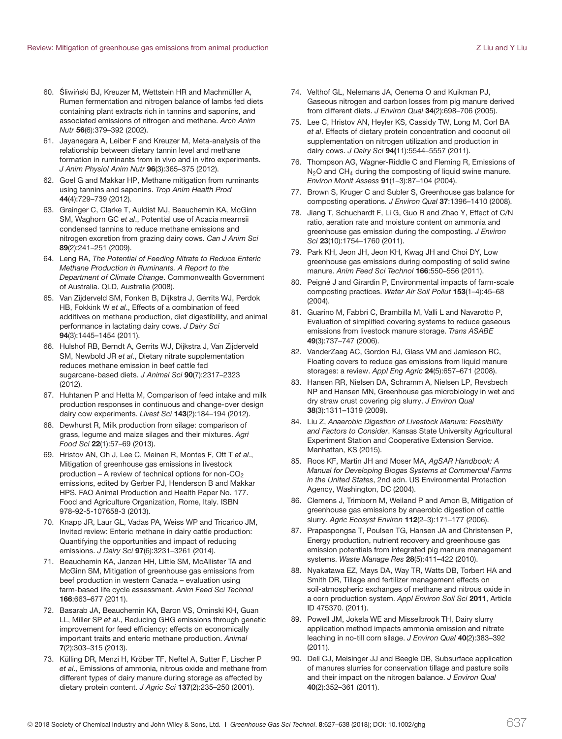- 60. Śliwiński BJ, Kreuzer M, Wettstein HR and Machmüller A, Rumen fermentation and nitrogen balance of lambs fed diets containing plant extracts rich in tannins and saponins, and associated emissions of nitrogen and methane. Arch Anim Nutr **56**(6):379–392 (2002).
- 61. Jayanegara A, Leiber F and Kreuzer M, Meta-analysis of the relationship between dietary tannin level and methane formation in ruminants from in vivo and in vitro experiments. J Anim Physiol Anim Nutr **96**(3):365–375 (2012).
- 62. Goel G and Makkar HP, Methane mitigation from ruminants using tannins and saponins. Trop Anim Health Prod **44**(4):729–739 (2012).
- 63. Grainger C, Clarke T, Auldist MJ, Beauchemin KA, McGinn SM, Waghorn GC et al., Potential use of Acacia mearnsii condensed tannins to reduce methane emissions and nitrogen excretion from grazing dairy cows. Can J Anim Sci **89**(2):241–251 (2009).
- 64. Leng RA, The Potential of Feeding Nitrate to Reduce Enteric Methane Production in Ruminants. A Report to the Department of Climate Change. Commonwealth Government of Australia. QLD, Australia (2008).
- 65. Van Zijderveld SM, Fonken B, Dijkstra J, Gerrits WJ, Perdok HB, Fokkink W et al., Effects of a combination of feed additives on methane production, diet digestibility, and animal performance in lactating dairy cows. J Dairy Sci **94**(3):1445–1454 (2011).
- 66. Hulshof RB, Berndt A, Gerrits WJ, Dijkstra J, Van Zijderveld SM, Newbold JR et al., Dietary nitrate supplementation reduces methane emission in beef cattle fed sugarcane-based diets. J Animal Sci **90**(7):2317–2323 (2012).
- 67. Huhtanen P and Hetta M, Comparison of feed intake and milk production responses in continuous and change-over design dairy cow experiments. Livest Sci **143**(2):184–194 (2012).
- 68. Dewhurst R, Milk production from silage: comparison of grass, legume and maize silages and their mixtures. Agri Food Sci **22**(1):57–69 (2013).
- 69. Hristov AN, Oh J, Lee C, Meinen R, Montes F, Ott T et al., Mitigation of greenhouse gas emissions in livestock production – A review of technical options for non- $CO<sub>2</sub>$ emissions, edited by Gerber PJ, Henderson B and Makkar HPS. FAO Animal Production and Health Paper No. 177. Food and Agriculture Organization, Rome, Italy. ISBN 978-92-5-107658-3 (2013).
- 70. Knapp JR, Laur GL, Vadas PA, Weiss WP and Tricarico JM, Invited review: Enteric methane in dairy cattle production: Quantifying the opportunities and impact of reducing emissions. J Dairy Sci **97**(6):3231–3261 (2014).
- 71. Beauchemin KA, Janzen HH, Little SM, McAllister TA and McGinn SM, Mitigation of greenhouse gas emissions from beef production in western Canada – evaluation using farm-based life cycle assessment. Anim Feed Sci Technol **166**:663–677 (2011).
- 72. Basarab JA, Beauchemin KA, Baron VS, Ominski KH, Guan LL, Miller SP et al., Reducing GHG emissions through genetic improvement for feed efficiency: effects on economically important traits and enteric methane production. Animal **7**(2):303–315 (2013).
- 73. Külling DR, Menzi H, Kröber TF, Neftel A, Sutter F, Lischer P et al., Emissions of ammonia, nitrous oxide and methane from different types of dairy manure during storage as affected by dietary protein content. J Agric Sci **137**(2):235–250 (2001).
- 74. Velthof GL, Nelemans JA, Oenema O and Kuikman PJ, Gaseous nitrogen and carbon losses from pig manure derived from different diets. J Environ Qual **34**(2):698–706 (2005).
- 75. Lee C, Hristov AN, Heyler KS, Cassidy TW, Long M, Corl BA et al. Effects of dietary protein concentration and coconut oil supplementation on nitrogen utilization and production in dairy cows. J Dairy Sci **94(**11):5544–5557 (2011).
- 76. Thompson AG, Wagner-Riddle C and Fleming R, Emissions of  $N<sub>2</sub>O$  and CH<sub>4</sub> during the composting of liquid swine manure. Environ Monit Assess **91**(1–3):87–104 (2004).
- 77. Brown S, Kruger C and Subler S, Greenhouse gas balance for composting operations. J Environ Qual **37**:1396–1410 (2008).
- 78. Jiang T, Schuchardt F, Li G, Guo R and Zhao Y, Effect of C/N ratio, aeration rate and moisture content on ammonia and greenhouse gas emission during the composting. J Environ Sci **23**(10):1754–1760 (2011).
- 79. Park KH, Jeon JH, Jeon KH, Kwag JH and Choi DY, Low greenhouse gas emissions during composting of solid swine manure. Anim Feed Sci Technol **166**:550–556 (2011).
- 80. Peigné J and Girardin P, Environmental impacts of farm-scale composting practices. Water Air Soil Pollut **153**(1–4):45–68 (2004).
- 81. Guarino M, Fabbri C, Brambilla M, Valli L and Navarotto P, Evaluation of simplified covering systems to reduce gaseous emissions from livestock manure storage. Trans ASABE **49**(3):737–747 (2006).
- 82. VanderZaag AC, Gordon RJ, Glass VM and Jamieson RC, Floating covers to reduce gas emissions from liquid manure storages: a review. Appl Eng Agric **24**(5):657–671 (2008).
- 83. Hansen RR, Nielsen DA, Schramm A, Nielsen LP, Revsbech NP and Hansen MN, Greenhouse gas microbiology in wet and dry straw crust covering pig slurry. J Environ Qual **38**(3):1311–1319 (2009).
- 84. Liu Z, Anaerobic Digestion of Livestock Manure: Feasibility and Factors to Consider. Kansas State University Agricultural Experiment Station and Cooperative Extension Service. Manhattan, KS (2015).
- 85. Roos KF, Martin JH and Moser MA, AgSAR Handbook: A Manual for Developing Biogas Systems at Commercial Farms in the United States, 2nd edn. US Environmental Protection Agency, Washington, DC (2004).
- 86. Clemens J, Trimborn M, Weiland P and Amon B, Mitigation of greenhouse gas emissions by anaerobic digestion of cattle slurry. Agric Ecosyst Environ **112**(2–3):171–177 (2006).
- 87. Prapaspongsa T, Poulsen TG, Hansen JA and Christensen P, Energy production, nutrient recovery and greenhouse gas emission potentials from integrated pig manure management systems. Waste Manage Res **28**(5):411–422 (2010).
- 88. Nyakatawa EZ, Mays DA, Way TR, Watts DB, Torbert HA and Smith DR, Tillage and fertilizer management effects on soil-atmospheric exchanges of methane and nitrous oxide in a corn production system. Appl Environ Soil Sci **2011**, Article ID 475370. (2011).
- 89. Powell JM, Jokela WE and Misselbrook TH, Dairy slurry application method impacts ammonia emission and nitrate leaching in no-till corn silage. J Environ Qual **40**(2):383–392 (2011).
- 90. Dell CJ, Meisinger JJ and Beegle DB, Subsurface application of manures slurries for conservation tillage and pasture soils and their impact on the nitrogen balance. J Environ Qual **40**(2):352–361 (2011).